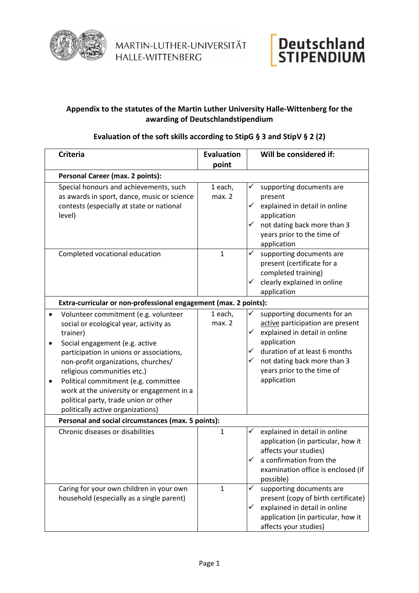



## **Appendix to the statutes of the Martin Luther University Halle-Wittenberg for the awarding of Deutschlandstipendium**

## **Evaluation of the soft skills according to StipG § 3 and StipV § 2 (2)**

|                                                    | <b>Criteria</b>                                                                                                                                                                                                                                                                                                                                                                                                   | <b>Evaluation</b> |                                   | Will be considered if:                                                                                                                                                                                                       |  |  |
|----------------------------------------------------|-------------------------------------------------------------------------------------------------------------------------------------------------------------------------------------------------------------------------------------------------------------------------------------------------------------------------------------------------------------------------------------------------------------------|-------------------|-----------------------------------|------------------------------------------------------------------------------------------------------------------------------------------------------------------------------------------------------------------------------|--|--|
|                                                    |                                                                                                                                                                                                                                                                                                                                                                                                                   | point             |                                   |                                                                                                                                                                                                                              |  |  |
|                                                    | Personal Career (max. 2 points):                                                                                                                                                                                                                                                                                                                                                                                  |                   |                                   |                                                                                                                                                                                                                              |  |  |
|                                                    | Special honours and achievements, such<br>as awards in sport, dance, music or science<br>contests (especially at state or national<br>level)                                                                                                                                                                                                                                                                      | 1 each,<br>max. 2 | ✓<br>$\checkmark$<br>$\checkmark$ | supporting documents are<br>present<br>explained in detail in online<br>application<br>not dating back more than 3<br>years prior to the time of<br>application                                                              |  |  |
|                                                    | Completed vocational education                                                                                                                                                                                                                                                                                                                                                                                    | $\mathbf{1}$      | ✓<br>$\checkmark$                 | supporting documents are<br>present (certificate for a<br>completed training)<br>clearly explained in online<br>application                                                                                                  |  |  |
|                                                    | Extra-curricular or non-professional engagement (max. 2 points):                                                                                                                                                                                                                                                                                                                                                  |                   |                                   |                                                                                                                                                                                                                              |  |  |
| $\bullet$<br>٠<br>٠                                | Volunteer commitment (e.g. volunteer<br>social or ecological year, activity as<br>trainer)<br>Social engagement (e.g. active<br>participation in unions or associations,<br>non-profit organizations, churches/<br>religious communities etc.)<br>Political commitment (e.g. committee<br>work at the university or engagement in a<br>political party, trade union or other<br>politically active organizations) | 1 each,<br>max. 2 | $\checkmark$<br>✓<br>✓            | supporting documents for an<br>active participation are present<br>explained in detail in online<br>application<br>duration of at least 6 months<br>not dating back more than 3<br>years prior to the time of<br>application |  |  |
| Personal and social circumstances (max. 5 points): |                                                                                                                                                                                                                                                                                                                                                                                                                   |                   |                                   |                                                                                                                                                                                                                              |  |  |
|                                                    | Chronic diseases or disabilities                                                                                                                                                                                                                                                                                                                                                                                  | $\mathbf{1}$      | ✓<br>✓                            | explained in detail in online<br>application (in particular, how it<br>affects your studies)<br>a confirmation from the<br>examination office is enclosed (if<br>possible)                                                   |  |  |
|                                                    | Caring for your own children in your own<br>household (especially as a single parent)                                                                                                                                                                                                                                                                                                                             | $\mathbf{1}$      | $\checkmark$<br>$\checkmark$      | supporting documents are<br>present (copy of birth certificate)<br>explained in detail in online<br>application (in particular, how it<br>affects your studies)                                                              |  |  |